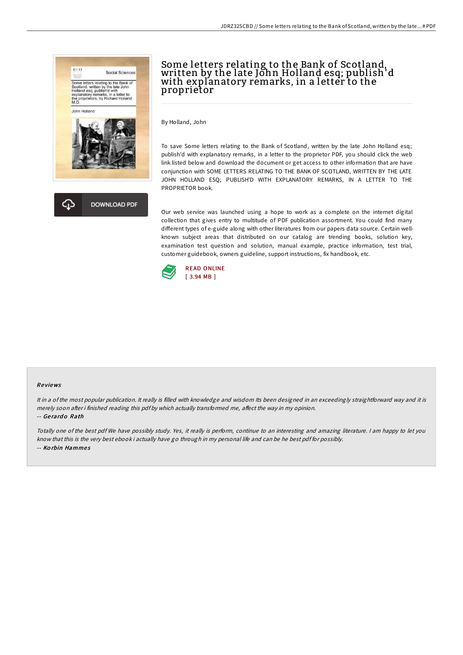



# Some letters relating to the Bank of Scotland, written by the late John Holland esq; publish'd with explanatory remarks, in a letter to the proprietor

By Holland, John

To save Some letters relating to the Bank of Scotland, written by the late John Holland esq; publish'd with explanatory remarks, in a letter to the proprietor PDF, you should click the web link listed below and download the document or get access to other information that are have conjunction with SOME LETTERS RELATING TO THE BANK OF SCOTLAND, WRITTEN BY THE LATE JOHN HOLLAND ESQ; PUBLISH'D WITH EXPLANATORY REMARKS, IN A LETTER TO THE PROPRIETOR book.

Our web service was launched using a hope to work as a complete on the internet digital collection that gives entry to multitude of PDF publication assortment. You could find many different types of e-guide along with other literatures from our papers data source. Certain wellknown subject areas that distributed on our catalog are trending books, solution key, examination test question and solution, manual example, practice information, test trial, customer guidebook, owners guideline, support instructions, fix handbook, etc.



#### Re views

It in a of the most popular publication. It really is filled with knowledge and wisdom Its been designed in an exceedingly straightforward way and it is merely soon after i finished reading this pdf by which actually transformed me, affect the way in my opinion. -- Gerardo Rath

Totally one of the best pdf We have possibly study. Yes, it really is perform, continue to an interesting and amazing literature. <sup>I</sup> am happy to let you know that this is the very best ebook i actually have go through in my personal life and can be he best pdf for possibly. -- Korbin Hammes